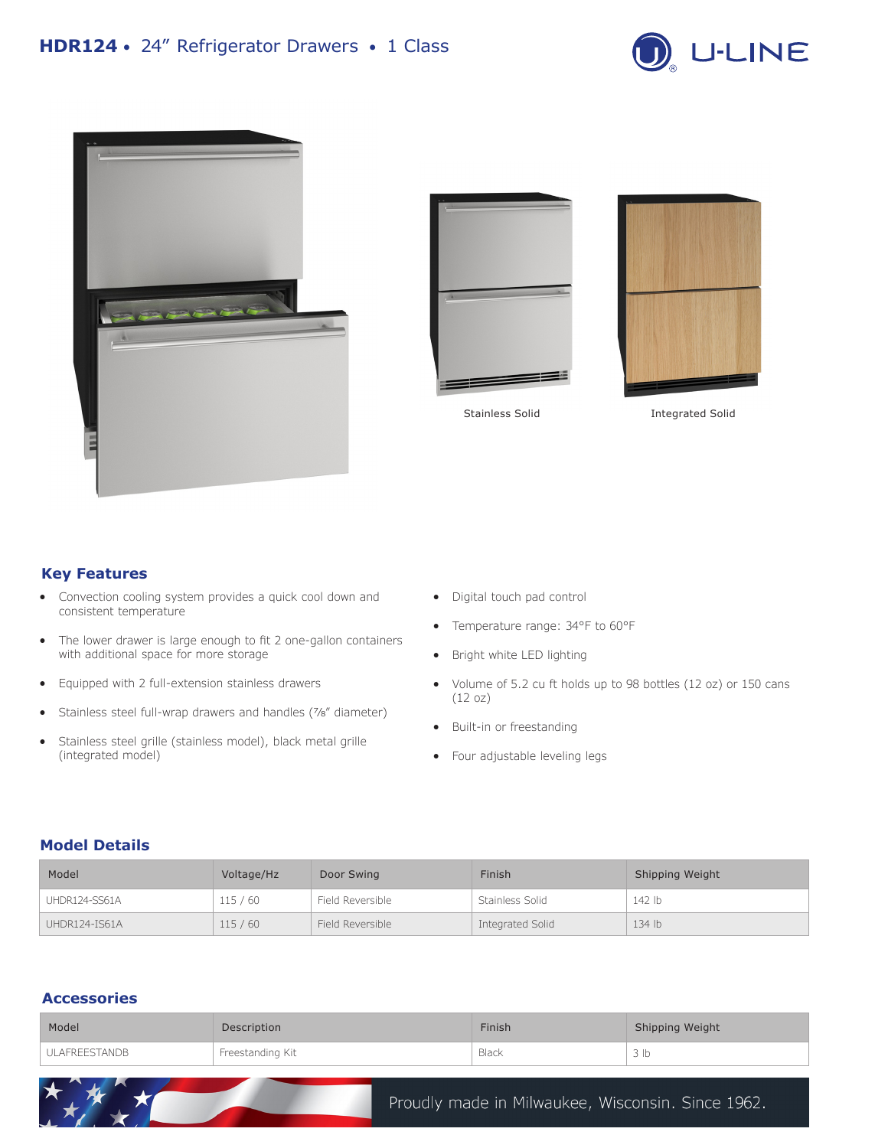







Stainless Solid **Integrated Solid** 

### **Key Features**

- Convection cooling system provides a quick cool down and consistent temperature
- The lower drawer is large enough to fit 2 one-gallon containers with additional space for more storage
- Equipped with 2 full-extension stainless drawers

 $\star$ 

- Stainless steel full-wrap drawers and handles (7/8" diameter)
- Stainless steel grille (stainless model), black metal grille (integrated model)
- Digital touch pad control
- Temperature range: 34°F to 60°F
- Bright white LED lighting
- Volume of 5.2 cu ft holds up to 98 bottles (12 oz) or 150 cans (12 oz)
- Built-in or freestanding
- Four adjustable leveling legs

### **Model Details**

| Model         | Voltage/Hz | Door Swing       | Finish           | Shipping Weight |
|---------------|------------|------------------|------------------|-----------------|
| UHDR124-SS61A | 115/60     | Field Reversible | Stainless Solid  | 142 lb          |
| UHDR124-IS61A | 115/60     | Field Reversible | Integrated Solid | 134 lb          |

# **Accessories**

| Model         | Description      | Finish | Shipping Weight |
|---------------|------------------|--------|-----------------|
| ULAFREESTANDB | Freestanding Kit | Black  | 3 ID            |